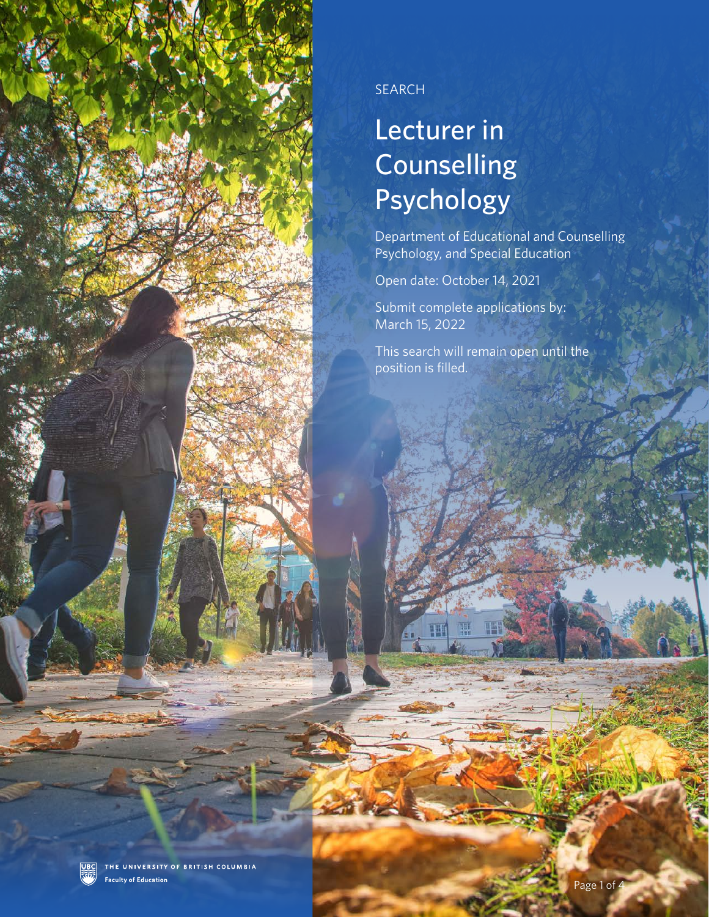

## SEARCH

## Lecturer in **Counselling** Psychology

Department of Educational and Counselling Psychology, and Special Education

Open date: October 14, 2021

Submit complete applications by: March 15, 2022

This search will remain open until the position is filled.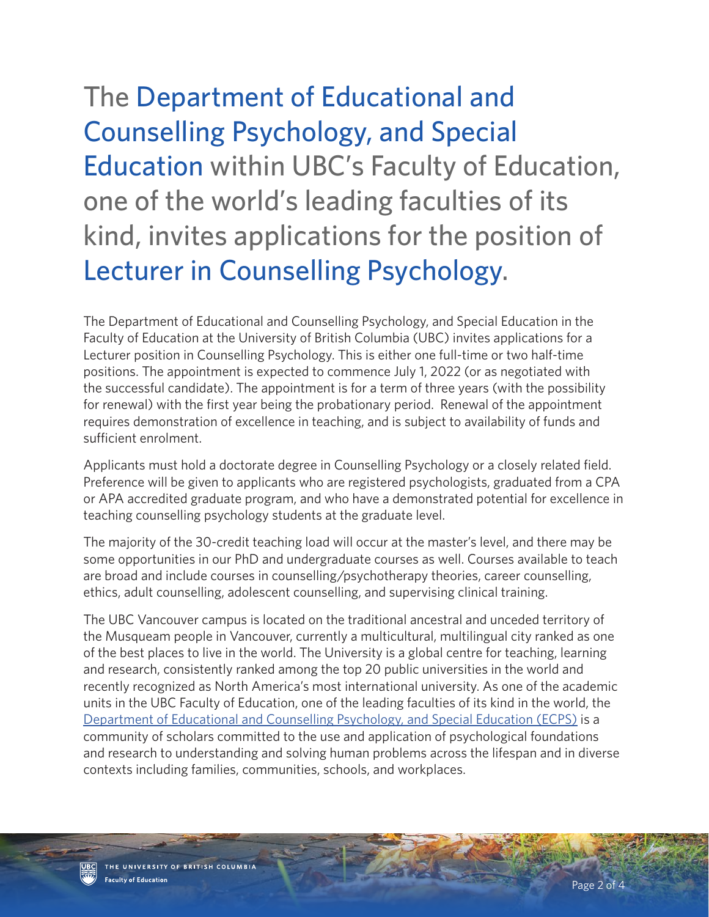The Department of Educational and Counselling Psychology, and Special Education within UBC's Faculty of Education, one of the world's leading faculties of its kind, invites applications for the position of Lecturer in Counselling Psychology.

The Department of Educational and Counselling Psychology, and Special Education in the Faculty of Education at the University of British Columbia (UBC) invites applications for a Lecturer position in Counselling Psychology. This is either one full-time or two half-time positions. The appointment is expected to commence July 1, 2022 (or as negotiated with the successful candidate). The appointment is for a term of three years (with the possibility for renewal) with the first year being the probationary period. Renewal of the appointment requires demonstration of excellence in teaching, and is subject to availability of funds and sufficient enrolment.

Applicants must hold a doctorate degree in Counselling Psychology or a closely related field. Preference will be given to applicants who are registered psychologists, graduated from a CPA or APA accredited graduate program, and who have a demonstrated potential for excellence in teaching counselling psychology students at the graduate level.

The majority of the 30-credit teaching load will occur at the master's level, and there may be some opportunities in our PhD and undergraduate courses as well. Courses available to teach are broad and include courses in counselling/psychotherapy theories, career counselling, ethics, adult counselling, adolescent counselling, and supervising clinical training.

The UBC Vancouver campus is located on the traditional ancestral and unceded territory of the Musqueam people in Vancouver, currently a multicultural, multilingual city ranked as one of the best places to live in the world. The University is a global centre for teaching, learning and research, consistently ranked among the top 20 public universities in the world and recently recognized as North America's most international university. As one of the academic units in the UBC Faculty of Education, one of the leading faculties of its kind in the world, the [Department of Educational and Counselling Psychology, and Special Education \(ECPS\)](https://ecps.educ.ubc.ca/) is a community of scholars committed to the use and application of psychological foundations and research to understanding and solving human problems across the lifespan and in diverse contexts including families, communities, schools, and workplaces.

<u>UBC</u>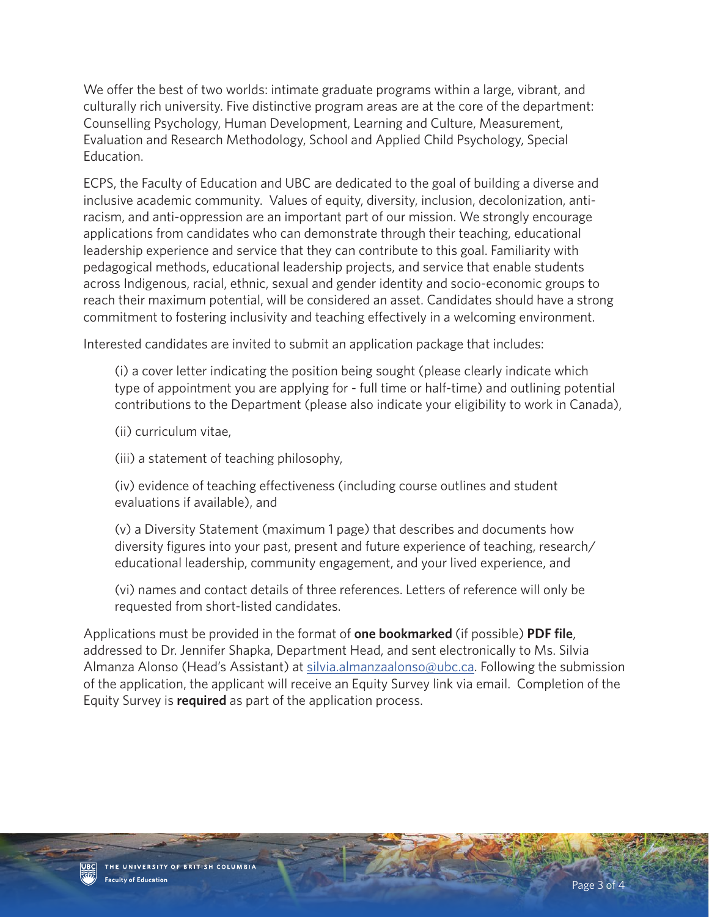We offer the best of two worlds: intimate graduate programs within a large, vibrant, and culturally rich university. Five distinctive program areas are at the core of the department: Counselling Psychology, Human Development, Learning and Culture, Measurement, Evaluation and Research Methodology, School and Applied Child Psychology, Special Education.

ECPS, the Faculty of Education and UBC are dedicated to the goal of building a diverse and inclusive academic community. Values of equity, diversity, inclusion, decolonization, antiracism, and anti-oppression are an important part of our mission. We strongly encourage applications from candidates who can demonstrate through their teaching, educational leadership experience and service that they can contribute to this goal. Familiarity with pedagogical methods, educational leadership projects, and service that enable students across Indigenous, racial, ethnic, sexual and gender identity and socio-economic groups to reach their maximum potential, will be considered an asset. Candidates should have a strong commitment to fostering inclusivity and teaching effectively in a welcoming environment.

Interested candidates are invited to submit an application package that includes:

(i) a cover letter indicating the position being sought (please clearly indicate which type of appointment you are applying for - full time or half-time) and outlining potential contributions to the Department (please also indicate your eligibility to work in Canada),

(ii) curriculum vitae,

(iii) a statement of teaching philosophy,

(iv) evidence of teaching effectiveness (including course outlines and student evaluations if available), and

(v) a Diversity Statement (maximum 1 page) that describes and documents how diversity figures into your past, present and future experience of teaching, research/ educational leadership, community engagement, and your lived experience, and

(vi) names and contact details of three references. Letters of reference will only be requested from short-listed candidates.

Applications must be provided in the format of **one bookmarked** (if possible) **PDF file**, addressed to Dr. Jennifer Shapka, Department Head, and sent electronically to Ms. Silvia Almanza Alonso (Head's Assistant) at [silvia.almanzaalonso@ubc.ca.](mailto:silvia.almanzaalonso%40ubc.ca?subject=) Following the submission of the application, the applicant will receive an Equity Survey link via email. Completion of the Equity Survey is **required** as part of the application process.

UBC